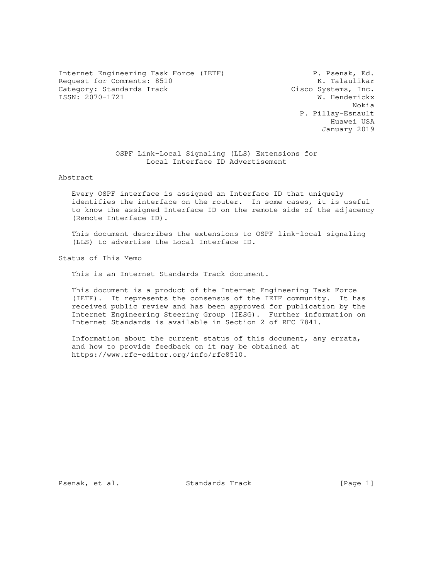Internet Engineering Task Force (IETF) P. Psenak, Ed. Request for Comments: 8510 K. Talaulikar<br>Category: Standards Track Cisco Systems, Inc. Category: Standards Track Cisco Systems, Inc.<br>
ISSN: 2070-1721 W. Henderickx ISSN: 2070-1721

 Nokia P. Pillay-Esnault Huawei USA January 2019

> OSPF Link-Local Signaling (LLS) Extensions for Local Interface ID Advertisement

### Abstract

 Every OSPF interface is assigned an Interface ID that uniquely identifies the interface on the router. In some cases, it is useful to know the assigned Interface ID on the remote side of the adjacency (Remote Interface ID).

 This document describes the extensions to OSPF link-local signaling (LLS) to advertise the Local Interface ID.

Status of This Memo

This is an Internet Standards Track document.

 This document is a product of the Internet Engineering Task Force (IETF). It represents the consensus of the IETF community. It has received public review and has been approved for publication by the Internet Engineering Steering Group (IESG). Further information on Internet Standards is available in Section 2 of RFC 7841.

 Information about the current status of this document, any errata, and how to provide feedback on it may be obtained at https://www.rfc-editor.org/info/rfc8510.

Psenak, et al. Standards Track [Page 1]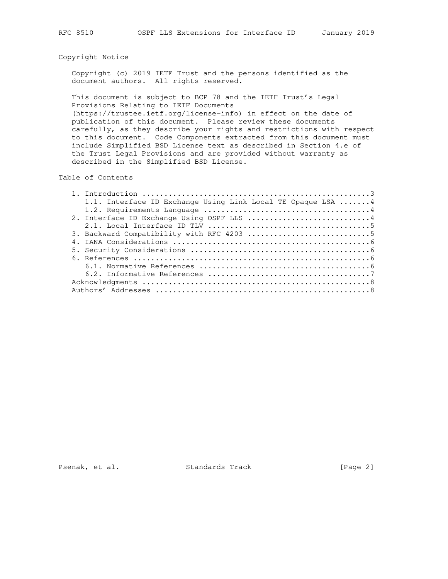# Copyright Notice

 Copyright (c) 2019 IETF Trust and the persons identified as the document authors. All rights reserved.

 This document is subject to BCP 78 and the IETF Trust's Legal Provisions Relating to IETF Documents

 (https://trustee.ietf.org/license-info) in effect on the date of publication of this document. Please review these documents carefully, as they describe your rights and restrictions with respect to this document. Code Components extracted from this document must include Simplified BSD License text as described in Section 4.e of the Trust Legal Provisions and are provided without warranty as described in the Simplified BSD License.

Table of Contents

| 1.1. Interface ID Exchange Using Link Local TE Opaque LSA 4 |
|-------------------------------------------------------------|
|                                                             |
| 2. Interface ID Exchange Using OSPF LLS 4                   |
|                                                             |
|                                                             |
|                                                             |
|                                                             |
|                                                             |
|                                                             |
|                                                             |
|                                                             |
|                                                             |

Psenak, et al. Standards Track [Page 2]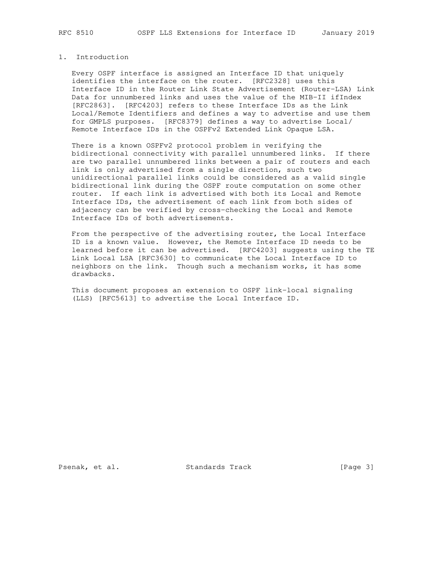# 1. Introduction

 Every OSPF interface is assigned an Interface ID that uniquely identifies the interface on the router. [RFC2328] uses this Interface ID in the Router Link State Advertisement (Router-LSA) Link Data for unnumbered links and uses the value of the MIB-II ifIndex [RFC2863]. [RFC4203] refers to these Interface IDs as the Link Local/Remote Identifiers and defines a way to advertise and use them for GMPLS purposes. [RFC8379] defines a way to advertise Local/ Remote Interface IDs in the OSPFv2 Extended Link Opaque LSA.

 There is a known OSPFv2 protocol problem in verifying the bidirectional connectivity with parallel unnumbered links. If there are two parallel unnumbered links between a pair of routers and each link is only advertised from a single direction, such two unidirectional parallel links could be considered as a valid single bidirectional link during the OSPF route computation on some other router. If each link is advertised with both its Local and Remote Interface IDs, the advertisement of each link from both sides of adjacency can be verified by cross-checking the Local and Remote Interface IDs of both advertisements.

 From the perspective of the advertising router, the Local Interface ID is a known value. However, the Remote Interface ID needs to be learned before it can be advertised. [RFC4203] suggests using the TE Link Local LSA [RFC3630] to communicate the Local Interface ID to neighbors on the link. Though such a mechanism works, it has some drawbacks.

 This document proposes an extension to OSPF link-local signaling (LLS) [RFC5613] to advertise the Local Interface ID.

Psenak, et al. Standards Track [Page 3]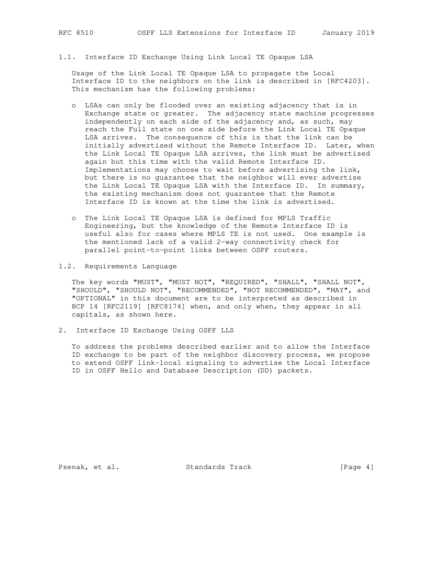1.1. Interface ID Exchange Using Link Local TE Opaque LSA

 Usage of the Link Local TE Opaque LSA to propagate the Local Interface ID to the neighbors on the link is described in [RFC4203]. This mechanism has the following problems:

- o LSAs can only be flooded over an existing adjacency that is in Exchange state or greater. The adjacency state machine progresses independently on each side of the adjacency and, as such, may reach the Full state on one side before the Link Local TE Opaque LSA arrives. The consequence of this is that the link can be initially advertised without the Remote Interface ID. Later, when the Link Local TE Opaque LSA arrives, the link must be advertised again but this time with the valid Remote Interface ID. Implementations may choose to wait before advertising the link, but there is no guarantee that the neighbor will ever advertise the Link Local TE Opaque LSA with the Interface ID. In summary, the existing mechanism does not guarantee that the Remote Interface ID is known at the time the link is advertised.
- o The Link Local TE Opaque LSA is defined for MPLS Traffic Engineering, but the knowledge of the Remote Interface ID is useful also for cases where MPLS TE is not used. One example is the mentioned lack of a valid 2-way connectivity check for parallel point-to-point links between OSPF routers.
- 1.2. Requirements Language

 The key words "MUST", "MUST NOT", "REQUIRED", "SHALL", "SHALL NOT", "SHOULD", "SHOULD NOT", "RECOMMENDED", "NOT RECOMMENDED", "MAY", and "OPTIONAL" in this document are to be interpreted as described in BCP 14 [RFC2119] [RFC8174] when, and only when, they appear in all capitals, as shown here.

2. Interface ID Exchange Using OSPF LLS

 To address the problems described earlier and to allow the Interface ID exchange to be part of the neighbor discovery process, we propose to extend OSPF link-local signaling to advertise the Local Interface ID in OSPF Hello and Database Description (DD) packets.

Psenak, et al. Standards Track [Page 4]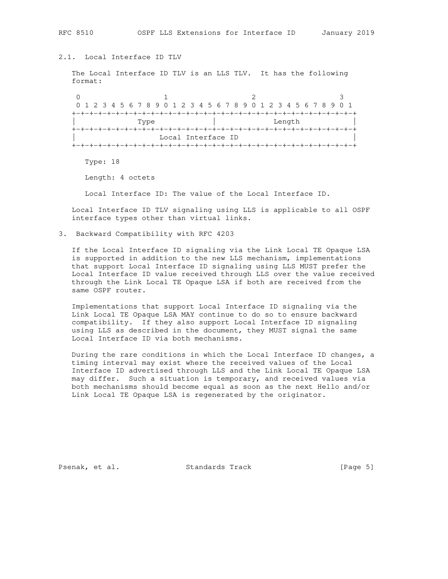# 2.1. Local Interface ID TLV

 The Local Interface ID TLV is an LLS TLV. It has the following format:

0  $1$  2 3 0 1 2 3 4 5 6 7 8 9 0 1 2 3 4 5 6 7 8 9 0 1 2 3 4 5 6 7 8 9 0 1 +-+-+-+-+-+-+-+-+-+-+-+-+-+-+-+-+-+-+-+-+-+-+-+-+-+-+-+-+-+-+-+-+ | Type | Length | Length | Length | Length | Length | Length | Length | Length | Length | Length | Length | Len +-+-+-+-+-+-+-+-+-+-+-+-+-+-+-+-+-+-+-+-+-+-+-+-+-+-+-+-+-+-+-+-+ Local Interface ID +-+-+-+-+-+-+-+-+-+-+-+-+-+-+-+-+-+-+-+-+-+-+-+-+-+-+-+-+-+-+-+-+

Type: 18

Length: 4 octets

Local Interface ID: The value of the Local Interface ID.

 Local Interface ID TLV signaling using LLS is applicable to all OSPF interface types other than virtual links.

3. Backward Compatibility with RFC 4203

 If the Local Interface ID signaling via the Link Local TE Opaque LSA is supported in addition to the new LLS mechanism, implementations that support Local Interface ID signaling using LLS MUST prefer the Local Interface ID value received through LLS over the value received through the Link Local TE Opaque LSA if both are received from the same OSPF router.

 Implementations that support Local Interface ID signaling via the Link Local TE Opaque LSA MAY continue to do so to ensure backward compatibility. If they also support Local Interface ID signaling using LLS as described in the document, they MUST signal the same Local Interface ID via both mechanisms.

 During the rare conditions in which the Local Interface ID changes, a timing interval may exist where the received values of the Local Interface ID advertised through LLS and the Link Local TE Opaque LSA may differ. Such a situation is temporary, and received values via both mechanisms should become equal as soon as the next Hello and/or Link Local TE Opaque LSA is regenerated by the originator.

Psenak, et al. Standards Track [Page 5]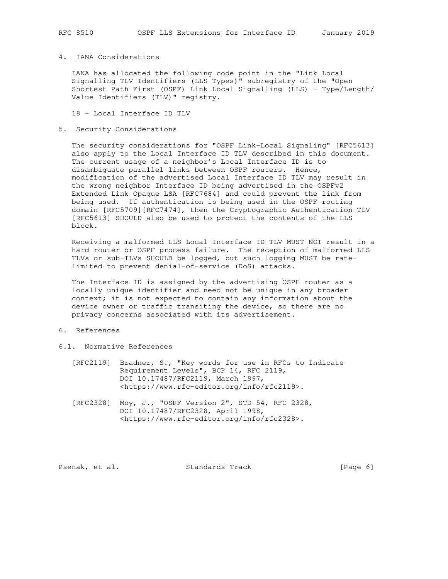## 4. IANA Considerations

 IANA has allocated the following code point in the "Link Local Signalling TLV Identifiers (LLS Types)" subregistry of the "Open Shortest Path First (OSPF) Link Local Signalling (LLS) - Type/Length/ Value Identifiers (TLV)" registry.

18 - Local Interface ID TLV

### 5. Security Considerations

 The security considerations for "OSPF Link-Local Signaling" [RFC5613] also apply to the Local Interface ID TLV described in this document. The current usage of a neighbor's Local Interface ID is to disambiguate parallel links between OSPF routers. Hence, modification of the advertised Local Interface ID TLV may result in the wrong neighbor Interface ID being advertised in the OSPFv2 Extended Link Opaque LSA [RFC7684] and could prevent the link from being used. If authentication is being used in the OSPF routing domain [RFC5709][RFC7474], then the Cryptographic Authentication TLV [RFC5613] SHOULD also be used to protect the contents of the LLS block.

 Receiving a malformed LLS Local Interface ID TLV MUST NOT result in a hard router or OSPF process failure. The reception of malformed LLS TLVs or sub-TLVs SHOULD be logged, but such logging MUST be rate limited to prevent denial-of-service (DoS) attacks.

 The Interface ID is assigned by the advertising OSPF router as a locally unique identifier and need not be unique in any broader context; it is not expected to contain any information about the device owner or traffic transiting the device, so there are no privacy concerns associated with its advertisement.

### 6. References

- 6.1. Normative References
	- [RFC2119] Bradner, S., "Key words for use in RFCs to Indicate Requirement Levels", BCP 14, RFC 2119, DOI 10.17487/RFC2119, March 1997, <https://www.rfc-editor.org/info/rfc2119>.
	- [RFC2328] Moy, J., "OSPF Version 2", STD 54, RFC 2328, DOI 10.17487/RFC2328, April 1998, <https://www.rfc-editor.org/info/rfc2328>.

Psenak, et al. Standards Track [Page 6]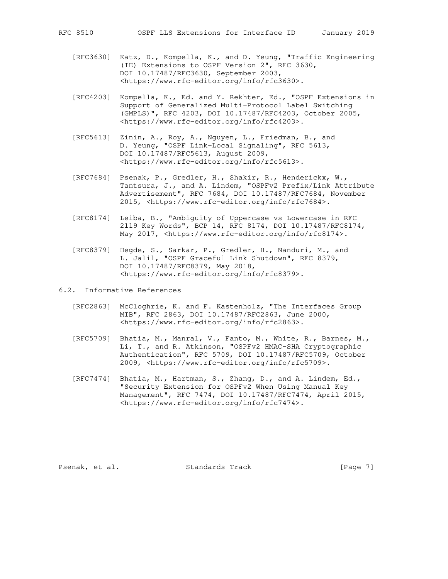- [RFC3630] Katz, D., Kompella, K., and D. Yeung, "Traffic Engineering (TE) Extensions to OSPF Version 2", RFC 3630, DOI 10.17487/RFC3630, September 2003, <https://www.rfc-editor.org/info/rfc3630>.
- [RFC4203] Kompella, K., Ed. and Y. Rekhter, Ed., "OSPF Extensions in Support of Generalized Multi-Protocol Label Switching (GMPLS)", RFC 4203, DOI 10.17487/RFC4203, October 2005, <https://www.rfc-editor.org/info/rfc4203>.
- [RFC5613] Zinin, A., Roy, A., Nguyen, L., Friedman, B., and D. Yeung, "OSPF Link-Local Signaling", RFC 5613, DOI 10.17487/RFC5613, August 2009, <https://www.rfc-editor.org/info/rfc5613>.
- [RFC7684] Psenak, P., Gredler, H., Shakir, R., Henderickx, W., Tantsura, J., and A. Lindem, "OSPFv2 Prefix/Link Attribute Advertisement", RFC 7684, DOI 10.17487/RFC7684, November 2015, <https://www.rfc-editor.org/info/rfc7684>.
- [RFC8174] Leiba, B., "Ambiguity of Uppercase vs Lowercase in RFC 2119 Key Words", BCP 14, RFC 8174, DOI 10.17487/RFC8174, May 2017, <https://www.rfc-editor.org/info/rfc8174>.
- [RFC8379] Hegde, S., Sarkar, P., Gredler, H., Nanduri, M., and L. Jalil, "OSPF Graceful Link Shutdown", RFC 8379, DOI 10.17487/RFC8379, May 2018, <https://www.rfc-editor.org/info/rfc8379>.
- 6.2. Informative References
	- [RFC2863] McCloghrie, K. and F. Kastenholz, "The Interfaces Group MIB", RFC 2863, DOI 10.17487/RFC2863, June 2000, <https://www.rfc-editor.org/info/rfc2863>.
	- [RFC5709] Bhatia, M., Manral, V., Fanto, M., White, R., Barnes, M., Li, T., and R. Atkinson, "OSPFv2 HMAC-SHA Cryptographic Authentication", RFC 5709, DOI 10.17487/RFC5709, October 2009, <https://www.rfc-editor.org/info/rfc5709>.
	- [RFC7474] Bhatia, M., Hartman, S., Zhang, D., and A. Lindem, Ed., "Security Extension for OSPFv2 When Using Manual Key Management", RFC 7474, DOI 10.17487/RFC7474, April 2015, <https://www.rfc-editor.org/info/rfc7474>.

Psenak, et al. Standards Track [Page 7]